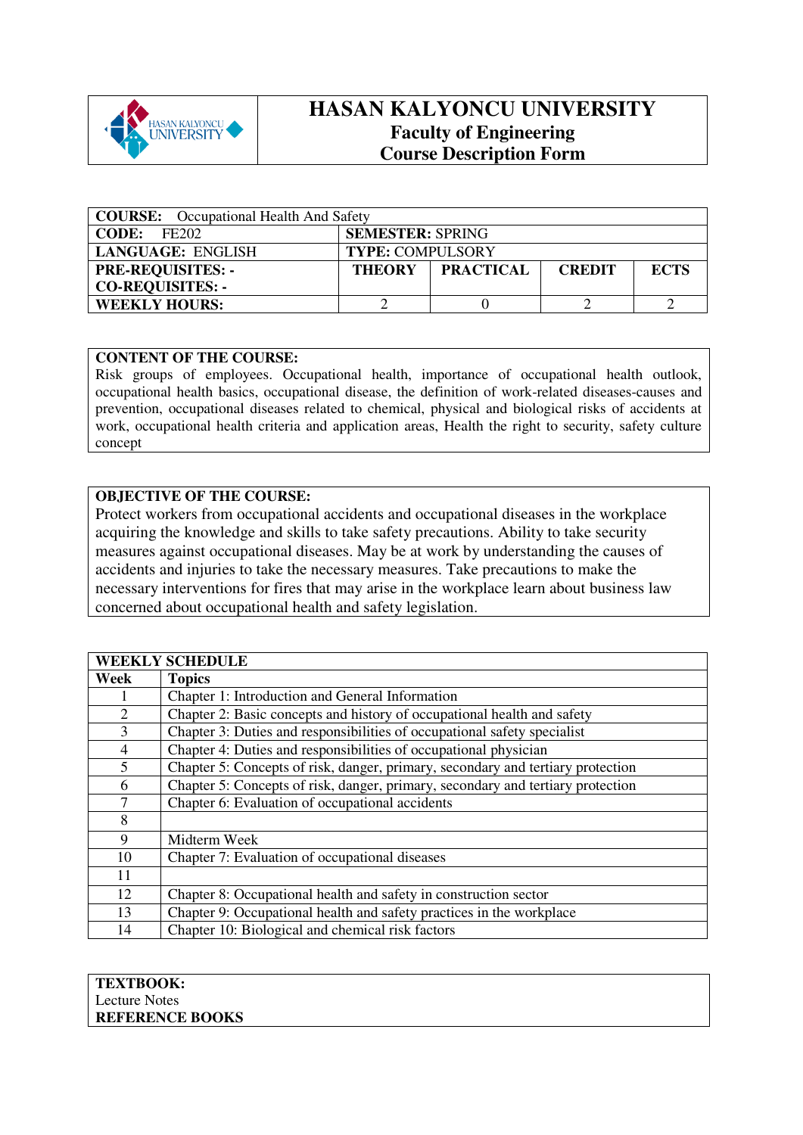

## **HASAN KALYONCU UNIVERSITY Faculty of Engineering Course Description Form**

| <b>COURSE:</b> Occupational Health And Safety |                         |                  |               |             |
|-----------------------------------------------|-------------------------|------------------|---------------|-------------|
| CODE:<br>FE202                                | <b>SEMESTER: SPRING</b> |                  |               |             |
| LANGUAGE: ENGLISH                             | <b>TYPE: COMPULSORY</b> |                  |               |             |
| <b>PRE-REQUISITES: -</b>                      | <b>THEORY</b>           | <b>PRACTICAL</b> | <b>CREDIT</b> | <b>ECTS</b> |
| <b>CO-REQUISITES: -</b>                       |                         |                  |               |             |
| <b>WEEKLY HOURS:</b>                          |                         |                  |               |             |

## **CONTENT OF THE COURSE:**

Risk groups of employees. Occupational health, importance of occupational health outlook, occupational health basics, occupational disease, the definition of work-related diseases-causes and prevention, occupational diseases related to chemical, physical and biological risks of accidents at work, occupational health criteria and application areas, Health the right to security, safety culture concept

## **OBJECTIVE OF THE COURSE:**

Protect workers from occupational accidents and occupational diseases in the workplace acquiring the knowledge and skills to take safety precautions. Ability to take security measures against occupational diseases. May be at work by understanding the causes of accidents and injuries to take the necessary measures. Take precautions to make the necessary interventions for fires that may arise in the workplace learn about business law concerned about occupational health and safety legislation.

| <b>WEEKLY SCHEDULE</b> |                                                                                 |  |  |  |
|------------------------|---------------------------------------------------------------------------------|--|--|--|
| Week                   | <b>Topics</b>                                                                   |  |  |  |
|                        | Chapter 1: Introduction and General Information                                 |  |  |  |
| $\overline{2}$         | Chapter 2: Basic concepts and history of occupational health and safety         |  |  |  |
| 3                      | Chapter 3: Duties and responsibilities of occupational safety specialist        |  |  |  |
| $\overline{4}$         | Chapter 4: Duties and responsibilities of occupational physician                |  |  |  |
| 5                      | Chapter 5: Concepts of risk, danger, primary, secondary and tertiary protection |  |  |  |
| 6                      | Chapter 5: Concepts of risk, danger, primary, secondary and tertiary protection |  |  |  |
| 7                      | Chapter 6: Evaluation of occupational accidents                                 |  |  |  |
| 8                      |                                                                                 |  |  |  |
| 9                      | Midterm Week                                                                    |  |  |  |
| 10                     | Chapter 7: Evaluation of occupational diseases                                  |  |  |  |
| 11                     |                                                                                 |  |  |  |
| 12                     | Chapter 8: Occupational health and safety in construction sector                |  |  |  |
| 13                     | Chapter 9: Occupational health and safety practices in the workplace            |  |  |  |
| 14                     | Chapter 10: Biological and chemical risk factors                                |  |  |  |

| <b>TEXTBOOK:</b>       |
|------------------------|
| Lecture Notes          |
| <b>REFERENCE BOOKS</b> |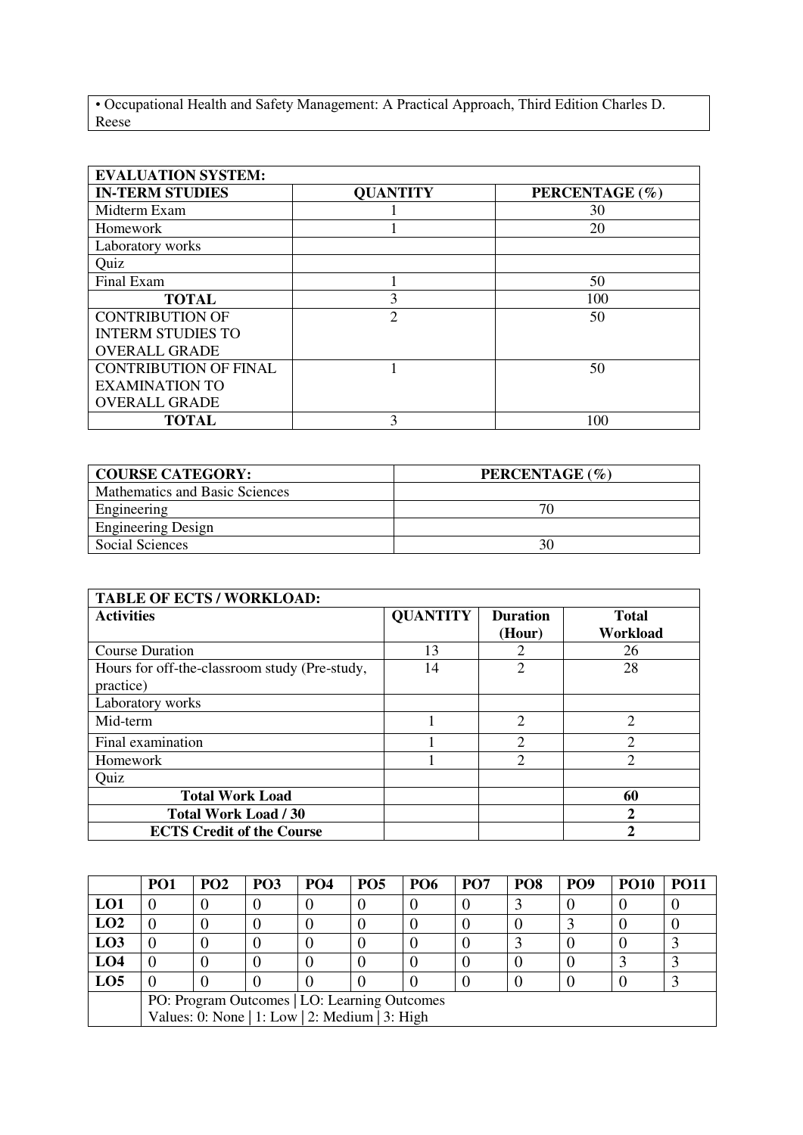• Occupational Health and Safety Management: A Practical Approach, Third Edition Charles D. Reese

| <b>EVALUATION SYSTEM:</b>    |                 |                |  |  |  |  |
|------------------------------|-----------------|----------------|--|--|--|--|
| <b>IN-TERM STUDIES</b>       | <b>QUANTITY</b> | PERCENTAGE (%) |  |  |  |  |
| Midterm Exam                 |                 | 30             |  |  |  |  |
| Homework                     |                 | 20             |  |  |  |  |
| Laboratory works             |                 |                |  |  |  |  |
| Quiz                         |                 |                |  |  |  |  |
| Final Exam                   |                 | 50             |  |  |  |  |
| <b>TOTAL</b>                 | 3               | 100            |  |  |  |  |
| <b>CONTRIBUTION OF</b>       | $\mathfrak{D}$  | 50             |  |  |  |  |
| <b>INTERM STUDIES TO</b>     |                 |                |  |  |  |  |
| <b>OVERALL GRADE</b>         |                 |                |  |  |  |  |
| <b>CONTRIBUTION OF FINAL</b> |                 | 50             |  |  |  |  |
| <b>EXAMINATION TO</b>        |                 |                |  |  |  |  |
| <b>OVERALL GRADE</b>         |                 |                |  |  |  |  |
| <b>TOTAL</b>                 | ζ               | 100            |  |  |  |  |

| <b>COURSE CATEGORY:</b>        | PERCENTAGE (%) |
|--------------------------------|----------------|
| Mathematics and Basic Sciences |                |
| Engineering                    | 70             |
| <b>Engineering Design</b>      |                |
| Social Sciences                | 30             |

| <b>TABLE OF ECTS / WORKLOAD:</b>                           |                 |                           |                          |  |  |
|------------------------------------------------------------|-----------------|---------------------------|--------------------------|--|--|
| <b>Activities</b>                                          | <b>QUANTITY</b> | <b>Duration</b><br>(Hour) | <b>Total</b><br>Workload |  |  |
| <b>Course Duration</b>                                     | 13              |                           | 26                       |  |  |
| Hours for off-the-classroom study (Pre-study,<br>practice) | 14              |                           | 28                       |  |  |
| Laboratory works                                           |                 |                           |                          |  |  |
| Mid-term                                                   |                 | $\overline{2}$            | $\overline{2}$           |  |  |
| Final examination                                          |                 | ⌒                         | ↑                        |  |  |
| Homework                                                   |                 | ◠                         | $\overline{c}$           |  |  |
| Quiz                                                       |                 |                           |                          |  |  |
| <b>Total Work Load</b>                                     |                 |                           | 60                       |  |  |
| <b>Total Work Load / 30</b>                                |                 |                           | 2                        |  |  |
| <b>ECTS Credit of the Course</b>                           |                 |                           | າ                        |  |  |

|                 | PO <sub>1</sub>                                | PO <sub>2</sub> | PO <sub>3</sub> | <b>PO4</b> | PO <sub>5</sub> | <b>PO6</b> | PO <sub>7</sub> | PO <sub>8</sub> | PO <sub>9</sub> | <b>PO10</b> | <b>PO11</b> |
|-----------------|------------------------------------------------|-----------------|-----------------|------------|-----------------|------------|-----------------|-----------------|-----------------|-------------|-------------|
| LO1             |                                                |                 |                 |            |                 |            |                 |                 |                 |             |             |
| LO2             |                                                |                 |                 |            |                 |            |                 |                 |                 |             |             |
| L <sub>03</sub> |                                                |                 |                 |            |                 |            |                 |                 |                 |             |             |
| LO <sub>4</sub> |                                                |                 |                 |            |                 |            |                 |                 |                 |             |             |
| LO <sub>5</sub> |                                                |                 |                 |            |                 |            |                 |                 |                 |             |             |
|                 | PO: Program Outcomes   LO: Learning Outcomes   |                 |                 |            |                 |            |                 |                 |                 |             |             |
|                 | Values: 0: None   1: Low   2: Medium   3: High |                 |                 |            |                 |            |                 |                 |                 |             |             |